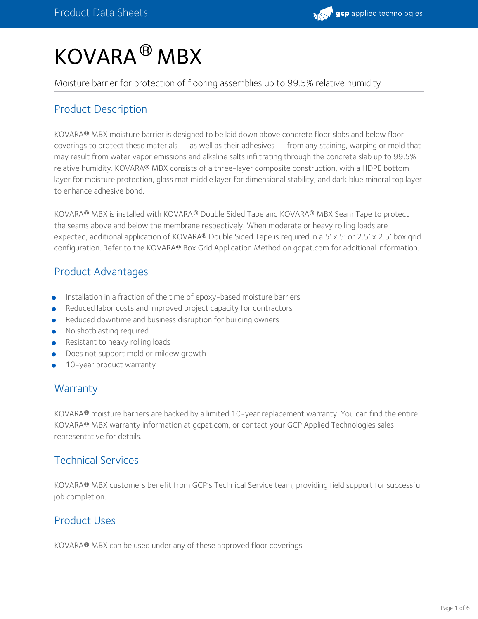# KOVARA<sup>®</sup> MBX

Moisture barrier for protection of flooring assemblies up to 99.5% relative humidity

## Product Description

KOVARA® MBX moisture barrier is designed to be laid down above concrete floor slabs and below floor coverings to protect these materials — as well as their adhesives — from any staining, warping or mold that may result from water vapor emissions and alkaline salts infiltrating through the concrete slab up to 99.5% relative humidity. KOVARA® MBX consists of a three-layer composite construction, with a HDPE bottom layer for moisture protection, glass mat middle layer for dimensional stability, and dark blue mineral top layer to enhance adhesive bond.

KOVARA® MBX is installed with KOVARA® Double Sided Tape and KOVARA® MBX Seam Tape to protect the seams above and below the membrane respectively. When moderate or heavy rolling loads are expected, additional application of KOVARA® Double Sided Tape is required in a 5′ x 5′ or 2.5′ x 2.5′ box grid configuration. Refer to the KOVARA® Box Grid Application Method on gcpat.com for additional information.

## Product Advantages

- Installation in a fraction of the time of epoxy-based moisture barriers
- Reduced labor costs and improved project capacity for contractors
- Reduced downtime and business disruption for building owners
- No shotblasting required
- Resistant to heavy rolling loads
- Does not support mold or mildew growth
- 10-year product warranty

## **Warranty**

KOVARA® moisture barriers are backed by a limited 10-year replacement warranty. You can find the entire KOVARA® MBX warranty information at gcpat.com, or contact your GCP Applied Technologies sales representative for details.

## Technical Services

<code>KOVARA®</code> MBX customers benefit from GCP's Technical Service team, providing field support for successful job completion.

## Product Uses

KOVARA® MBX can be used under any of these approved floor coverings: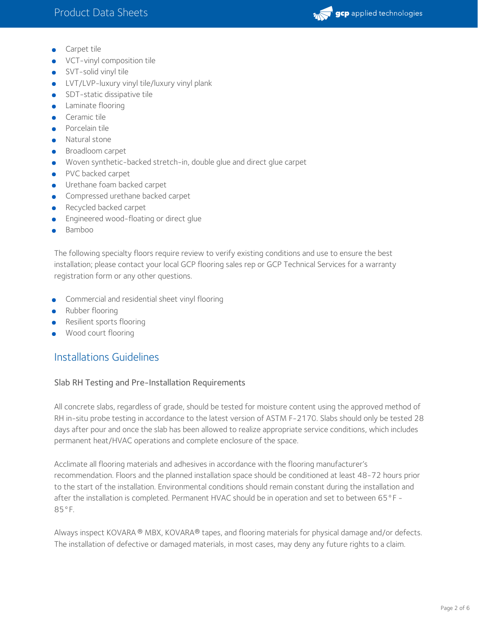

- Carpet tile
- VCT-vinyl composition tile
- SVT-solid vinyl tile
- **•** LVT/LVP-luxury vinyl tile/luxury vinyl plank
- **SDT-static dissipative tile**
- **•** Laminate flooring
- **Ceramic tile**
- **•** Porcelain tile
- **•** Natural stone
- **Broadloom carpet**
- Woven synthetic-backed stretch-in, double glue and direct glue carpet
- PVC backed carpet
- **Urethane foam backed carpet**
- **Compressed urethane backed carpet**
- **Recycled backed carpet**
- **Engineered wood-floating or direct glue**
- **Bamboo**

The following specialty floors require review to verify existing conditions and use to ensure the best installation; please contact your local GCP flooring sales rep or GCP Technical Services for a warranty registration form or any other questions.

- Commercial and residential sheet vinyl flooring
- Rubber flooring
- Resilient sports flooring
- Wood court flooring

## Installations Guidelines

#### Slab RH Testing and Pre-Installation Requirements

All concrete slabs, regardless of grade, should be tested for moisture content using the approved method of RH in-situ probe testing in accordance to the latest version of ASTM F-2170. Slabs should only be tested 28 days after pour and once the slab has been allowed to realize appropriate service conditions, which includes permanent heat/HVAC operations and complete enclosure of the space.

Acclimate all flooring materials and adhesives in accordance with the flooring manufacturer's recommendation. Floors and the planned installation space should be conditioned at least 48-72 hours prior to the start of the installation. Environmental conditions should remain constant during the installation and after the installation is completed. Permanent HVAC should be in operation and set to between 65°F -85°F.

Always inspect KOVARA ® MBX, KOVARA® tapes, and flooring materials for physical damage and/or defects. The installation of defective or damaged materials, in most cases, may deny any future rights to a claim.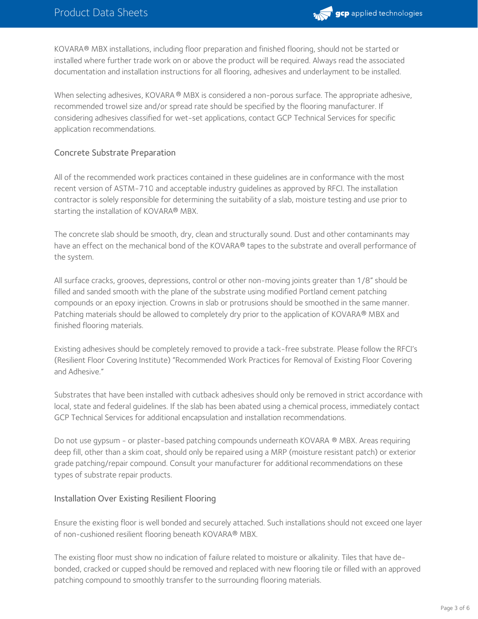

KOVARA® MBX installations, including floor preparation and finished flooring, should not be started or installed where further trade work on or above the product will be required. Always read the associated documentation and installation instructions for all flooring, adhesives and underlayment to be installed.

When selecting adhesives, KOVARA ® MBX is considered a non-porous surface. The appropriate adhesive, recommended trowel size and/or spread rate should be specified by the flooring manufacturer. If considering adhesives classified for wet-set applications, contact GCP Technical Services for specific application recommendations.

#### Concrete Substrate Preparation

All of the recommended work practices contained in these guidelines are in conformance with the most recent version of ASTM-710 and acceptable industry guidelines as approved by RFCI. The installation contractor is solely responsible for determining the suitability of a slab, moisture testing and use prior to starting the installation of KOVARA® MBX.

The concrete slab should be smooth, dry, clean and structurally sound. Dust and other contaminants may have an effect on the mechanical bond of the KOVARA® tapes to the substrate and overall performance of the system.

All surface cracks, grooves, depressions, control or other non-moving joints greater than 1/8" should be filled and sanded smooth with the plane of the substrate using modified Portland cement patching compounds or an epoxy injection. Crowns in slab or protrusions should be smoothed in the same manner. Patching materials should be allowed to completely dry prior to the application of KOVARA® MBX and finished flooring materials.

Existing adhesives should be completely removed to provide a tack-free substrate. Please follow the RFCI's (Resilient Floor Covering Institute) "Recommended Work Practices for Removal of Existing Floor Covering and Adhesive."

Substrates that have been installed with cutback adhesives should only be removed in strict accordance with local, state and federal guidelines. If the slab has been abated using a chemical process, immediately contact GCP Technical Services for additional encapsulation and installation recommendations.

Do not use gypsum - or plaster-based patching compounds underneath KOVARA ® MBX. Areas requiring deep fill, other than a skim coat, should only be repaired using a MRP (moisture resistant patch) or exterior grade patching/repair compound. Consult your manufacturer for additional recommendations on these types of substrate repair products.

#### Installation Over Existing Resilient Flooring

Ensure the existing floor is well bonded and securely attached. Such installations should not exceed one layer of non-cushioned resilient flooring beneath KOVARA® MBX.

The existing floor must show no indication of failure related to moisture or alkalinity. Tiles that have debonded, cracked or cupped should be removed and replaced with new flooring tile or filled with an approved patching compound to smoothly transfer to the surrounding flooring materials.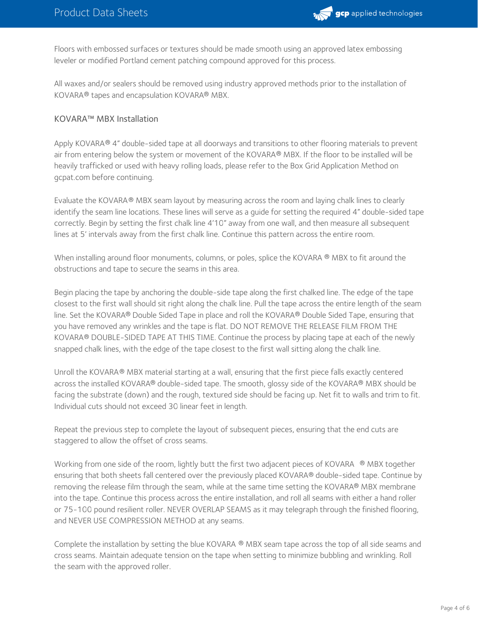

Floors with embossed surfaces or textures should be made smooth using an approved latex embossing leveler or modified Portland cement patching compound approved for this process.

All waxes and/or sealers should be removed using industry approved methods prior to the installation of KOVARA® tapes and encapsulation KOVARA® MBX.

#### KOVARA™ MBX Installation

Apply KOVARA® 4" double-sided tape at all doorways and transitions to other flooring materials to prevent air from entering below the system or movement of the KOVARA® MBX. If the floor to be installed will be heavily trafficked or used with heavy rolling loads, please refer to the Box Grid Application Method on gcpat.com before continuing.

Evaluate the KOVARA® MBX seam layout by measuring across the room and laying chalk lines to clearly identify the seam line locations. These lines will serve as a guide for setting the required 4" double-sided tape correctly. Begin by setting the first chalk line 4'10" away from one wall, and then measure all subsequent lines at 5' intervals away from the first chalk line. Continue this pattern across the entire room.

When installing around floor monuments, columns, or poles, splice the KOVARA ® MBX to fit around the obstructions and tape to secure the seams in this area.

Begin placing the tape by anchoring the double-side tape along the first chalked line. The edge of the tape closest to the first wall should sit right along the chalk line. Pull the tape across the entire length of the seam line. Set the KOVARA® Double Sided Tape in place and roll the KOVARA® Double Sided Tape, ensuring that you have removed any wrinkles and the tape is flat. DO NOT REMOVE THE RELEASE FILM FROM THE KOVARA® DOUBLE-SIDED TAPE AT THIS TIME. Continue the process by placing tape at each of the newly snapped chalk lines, with the edge of the tape closest to the first wall sitting along the chalk line.

Unroll the KOVARA® MBX material starting at a wall, ensuring that the first piece falls exactly centered across the installed KOVARA® double-sided tape. The smooth, glossy side of the KOVARA® MBX should be facing the substrate (down) and the rough, textured side should be facing up. Net fit to walls and trim to fit. Individual cuts should not exceed 30 linear feet in length.

Repeat the previous step to complete the layout of subsequent pieces, ensuring that the end cuts are staggered to allow the offset of cross seams.

Working from one side of the room, lightly butt the first two adjacent pieces of KOVARA  $\; \; \circ \;$  MBX together ensuring that both sheets fall centered over the previously placed KOVARA® double-sided tape. Continue by removing the release film through the seam, while at the same time setting the KOVARA® MBX membrane into the tape. Continue this process across the entire installation, and roll all seams with either a hand roller or 75-100 pound resilient roller. NEVER OVERLAP SEAMS as it may telegraph through the finished flooring, and NEVER USE COMPRESSION METHOD at any seams.

Complete the installation by setting the blue KOVARA ® MBX seam tape across the top of all side seams and cross seams. Maintain adequate tension on the tape when setting to minimize bubbling and wrinkling. Roll the seam with the approved roller.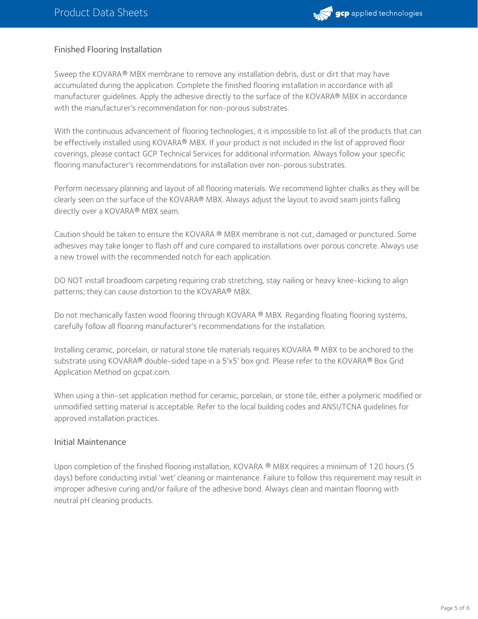

#### Finished Flooring Installation

Sweep the KOVARA® MBX membrane to remove any installation debris, dust or dirt that may have accumulated during the application. Complete the finished flooring installation in accordance with all manufacturer guidelines. Apply the adhesive directly to the surface of the KOVARA® MBX in accordance with the manufacturer's recommendation for non-porous substrates.

With the continuous advancement of flooring technologies, it is impossible to list all of the products that can be effectively installed using KOVARA® MBX. If your product is not included in the list of approved floor coverings, please contact GCP Technical Services for additional information. Always follow your specific flooring manufacturer's recommendations for installation over non-porous substrates.

Perform necessary planning and layout of all flooring materials. We recommend lighter chalks as they will be clearly seen on the surface of the KOVARA® MBX. Always adjust the layout to avoid seam joints falling directly over a KOVARA® MBX seam.

Caution should be taken to ensure the KOVARA ® MBX membrane is not cut, damaged or punctured. Some adhesives may take longer to flash off and cure compared to installations over porous concrete. Always use a new trowel with the recommended notch for each application.

DO NOT install broadloom carpeting requiring crab stretching, stay nailing or heavy knee-kicking to align patterns; they can cause distortion to the KOVARA® MBX.

Do not mechanically fasten wood flooring through KOVARA ® MBX. Regarding floating flooring systems, carefully follow all flooring manufacturer's recommendations for the installation.

Installing ceramic, porcelain, or natural stone tile materials requires KOVARA ® MBX to be anchored to the substrate using <code>KOVARA®</code> double-sided tape in a 5'x5' box grid. Please refer to the <code>KOVARA®</code> Box Grid Application Method on gcpat.com.

When using a thin-set application method for ceramic, porcelain, or stone tile, either a polymeric modified or unmodified setting material is acceptable. Refer to the local building codes and ANSI/TCNA guidelines for approved installation practices.

#### Initial Maintenance

Upon completion of the finished flooring installation, KOVARA ® MBX requires a minimum of 120 hours (5  $\,$ days) before conducting initial 'wet' cleaning or maintenance. Failure to follow this requirement may result in improper adhesive curing and/or failure of the adhesive bond. Always clean and maintain flooring with neutral pH cleaning products.